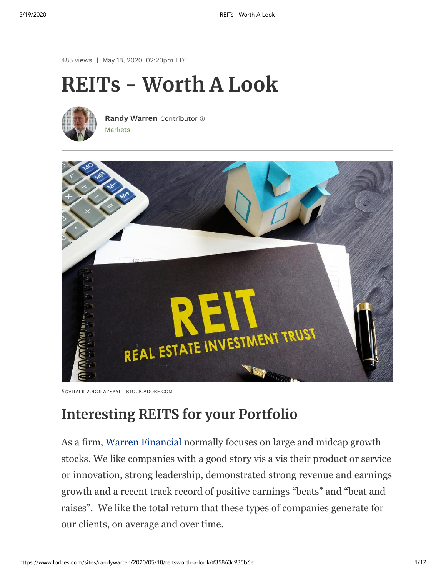485 views | May 18, 2020, 02:20pm EDT

# **REITs - Worth A Look**



[Markets](https://www.forbes.com/markets) **[Randy Warren](https://www.forbes.com/sites/randywarren/)** Contributor



<sup>©</sup>VITALII VODOLAZSKYI - STOCK.ADOBE.COM

# **Interesting REITS for your Portfolio**

As a firm, [Warren Financial](https://warrenfinancial.com/) normally focuses on large and midcap growth stocks. We like companies with a good story vis a vis their product or service or innovation, strong leadership, demonstrated strong revenue and earnings growth and a recent track record of positive earnings "beats" and "beat and raises". We like the total return that these types of companies generate for our clients, on average and over time.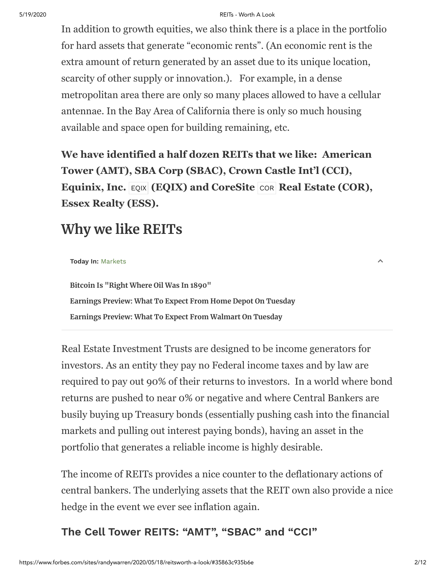#### 5/19/2020 REITs - Worth A Look

In addition to growth equities, we also think there is a place in the portfolio for hard assets that generate "economic rents". (An economic rent is the extra amount of return generated by an asset due to its unique location, scarcity of other supply or innovation.). For example, in a dense metropolitan area there are only so many places allowed to have a cellular antennae. In the Bay Area of California there is only so much housing available and space open for building remaining, etc.

**We have identified a half dozen REITs that we like: American Tower (AMT), SBA Corp (SBAC), Crown Castle Int'l (CCI), Equinix, Inc. [EQIX](https://www.forbes.com/companies/equinix)** (EQIX) and CoreSite  $|COR|$  $|COR|$  $|COR|$  Real Estate (COR), **Essex Realty (ESS).**

# **Why we like REITs**

| Today In: Markets |  |  |  |
|-------------------|--|--|--|
|-------------------|--|--|--|

**[Bitcoin Is "Right Where Oil Was In 1890"](https://www.forbes.com/sites/greatspeculations/2020/05/18/bitcoin-is-right-where-oil-was-in-1890/) [Earnings Preview: What To Expect From Home Depot On Tuesday](https://www.forbes.com/sites/adamsarhan/2020/05/18/earnings-preview-what-to-expect-from-home-depot-on-tuesday/) [Earnings Preview: What To Expect From Walmart On Tuesday](https://www.forbes.com/sites/adamsarhan/2020/05/18/earnings-preview-what-to-expect-from-walmart-on-tuesday/)**

Real Estate Investment Trusts are designed to be income generators for investors. As an entity they pay no Federal income taxes and by law are required to pay out 90% of their returns to investors. In a world where bond returns are pushed to near 0% or negative and where Central Bankers are busily buying up Treasury bonds (essentially pushing cash into the financial markets and pulling out interest paying bonds), having an asset in the portfolio that generates a reliable income is highly desirable.

The income of REITs provides a nice counter to the deflationary actions of central bankers. The underlying assets that the REIT own also provide a nice hedge in the event we ever see inflation again.

### **The Cell Tower REITS: "AMT", "SBAC" and "CCI"**

 $\lambda$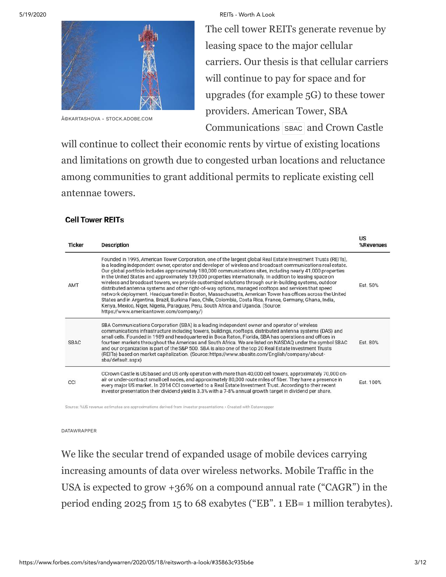

©KARTASHOVA - STOCK.ADOBE.COM

#### 5/19/2020 REITs - Worth A Look

The cell tower REITs generate revenue by leasing space to the major cellular carriers. Our thesis is that cellular carriers will continue to pay for space and for upgrades (for example 5G) to these tower providers. American Tower, SBA Communications [SBAC](https://www.forbes.com/companies/sba-communications) and Crown Castle

will continue to collect their economic rents by virtue of existing locations and limitations on growth due to congested urban locations and reluctance among communities to grant additional permits to replicate existing cell antennae towers.

#### **Cell Tower REITs**

| <b>Ticker</b> | Description                                                                                                                                                                                                                                                                                                                                                                                                                                                                                                                                                                                                                                                                                                                                                                                                                                                                                                                                                                                                                             | US<br>%Revenues |  |  |  |
|---------------|-----------------------------------------------------------------------------------------------------------------------------------------------------------------------------------------------------------------------------------------------------------------------------------------------------------------------------------------------------------------------------------------------------------------------------------------------------------------------------------------------------------------------------------------------------------------------------------------------------------------------------------------------------------------------------------------------------------------------------------------------------------------------------------------------------------------------------------------------------------------------------------------------------------------------------------------------------------------------------------------------------------------------------------------|-----------------|--|--|--|
| AMT           | Founded in 1995, American Tower Corporation, one of the largest global Real Estate Investment Trusts (REITs),<br>is a leading independent owner, operator and developer of wireless and broadcast communications real estate.<br>Our global portfolio includes approximately 180,000 communications sites, including nearly 41,000 properties<br>in the United States and approximately 139,000 properties internationally. In addition to leasing space on<br>wireless and broadcast towers, we provide customized solutions through our in-building systems, outdoor<br>distributed antenna systems and other right-of-way options, managed rooftops and services that speed<br>network deployment. Headquartered in Boston, Massachusetts, American Tower has offices across the United<br>States and in Argentina, Brazil, Burkina Faso, Chile, Colombia, Costa Rica, France, Germany, Ghana, India,<br>Kenya, Mexico, Niger, Nigeria, Paraguay, Peru, South Africa and Uganda. (Source:<br>https://www.americantower.com/company/) |                 |  |  |  |
| <b>SBAC</b>   | SBA Communications Corporation (SBA) is a leading independent owner and operator of wireless<br>communications infrastructure including towers, buildings, rooftops, distributed antenna systems (DAS) and<br>small cells. Founded in 1989 and headquartered in Boca Raton, Florida, SBA has operations and offices in<br>fourteen markets throughout the Americas and South Africa. We are listed on NASDAQ under the symbol SBAC<br>and our organization is part of the S&P 500. SBA is also one of the top 20 Real Estate Investment Trusts<br>(REITs) based on market capitalization. (Source: https://www.sbasite.com/English/company/about-<br>sba/default.aspx)                                                                                                                                                                                                                                                                                                                                                                  | Est. 80%        |  |  |  |
| CCI           | CCrown Castle is US based and US only operation with more than 40,000 cell towers, approximately 70,000 on-<br>air or under-contract small cell nodes, and approximately 80,000 route miles of fiber. They have a presence in<br>every major US market. In 2014 CCI converted to a Real Estate Investment Trust. According to their recent<br>investor presentation their dividend yield is 3.3% with a 7-8% annual growth target in dividend per share.                                                                                                                                                                                                                                                                                                                                                                                                                                                                                                                                                                                | Fst 100%        |  |  |  |
|               |                                                                                                                                                                                                                                                                                                                                                                                                                                                                                                                                                                                                                                                                                                                                                                                                                                                                                                                                                                                                                                         |                 |  |  |  |

Source: %US revenue estimates are approximations derived from investor presentations · Created with Datawrapper

DATAWRAPPER

We like the secular trend of expanded usage of mobile devices carrying increasing amounts of data over wireless networks. Mobile Traffic in the USA is expected to grow +36% on a compound annual rate ("CAGR") in the period ending 2025 from 15 to 68 exabytes ("EB". 1 EB= 1 million terabytes).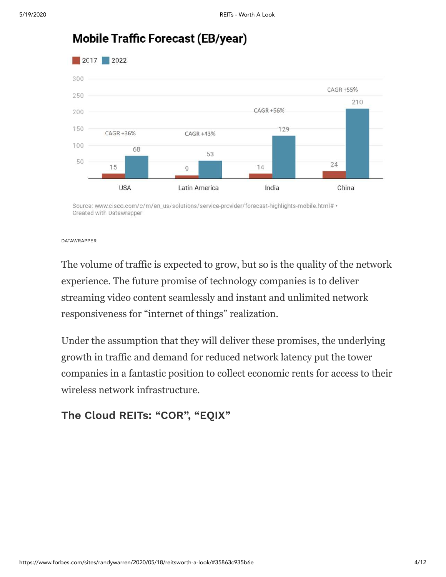

### **Mobile Traffic Forecast (EB/year)**

Source: www.cisco.com/c/m/en\_us/solutions/service-provider/forecast-highlights-mobile.html# . Created with Datawrapper

DATAWRAPPER

The volume of traffic is expected to grow, but so is the quality of the network experience. The future promise of technology companies is to deliver streaming video content seamlessly and instant and unlimited network responsiveness for "internet of things" realization.

Under the assumption that they will deliver these promises, the underlying growth in traffic and demand for reduced network latency put the tower companies in a fantastic position to collect economic rents for access to their wireless network infrastructure.

#### **The Cloud REITs: "COR", "EQIX"**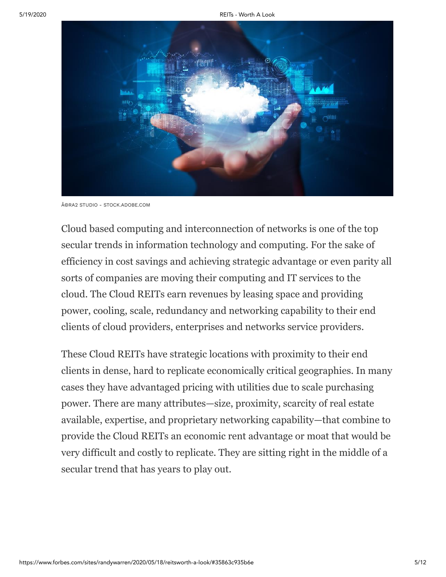

©RA2 STUDIO - STOCK.ADOBE.COM

Cloud based computing and interconnection of networks is one of the top secular trends in information technology and computing. For the sake of efficiency in cost savings and achieving strategic advantage or even parity all sorts of companies are moving their computing and IT services to the cloud. The Cloud REITs earn revenues by leasing space and providing power, cooling, scale, redundancy and networking capability to their end clients of cloud providers, enterprises and networks service providers.

These Cloud REITs have strategic locations with proximity to their end clients in dense, hard to replicate economically critical geographies. In many cases they have advantaged pricing with utilities due to scale purchasing power. There are many attributes—size, proximity, scarcity of real estate available, expertise, and proprietary networking capability—that combine to provide the Cloud REITs an economic rent advantage or moat that would be very difficult and costly to replicate. They are sitting right in the middle of a secular trend that has years to play out.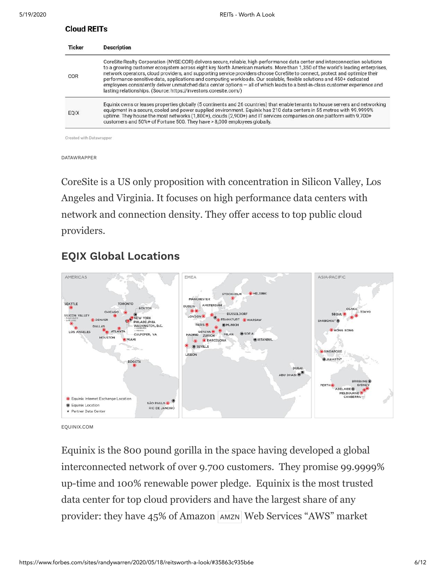#### **Cloud REITs**

| <b>Ticker</b><br>COR | <b>Description</b>                                                                                                                                                                                                                                                                                                                                                                                                                                                                                                                                                                                                                                                                                                       |  |  |  |  |
|----------------------|--------------------------------------------------------------------------------------------------------------------------------------------------------------------------------------------------------------------------------------------------------------------------------------------------------------------------------------------------------------------------------------------------------------------------------------------------------------------------------------------------------------------------------------------------------------------------------------------------------------------------------------------------------------------------------------------------------------------------|--|--|--|--|
|                      | CoreSite Realty Corporation (NYSE:COR) delivers secure, reliable, high-performance data center and interconnection solutions<br>to a growing customer ecosystem across eight key North American markets. More than 1,350 of the world's leading enterprises,<br>network operators, cloud providers, and supporting service providers choose CoreSite to connect, protect and optimize their<br>performance-sensitive data, applications and computing workloads. Our scalable, flexible solutions and 450+ dedicated<br>employees consistently deliver unmatched data center options - all of which leads to a best-in-class customer experience and<br>lasting relationships. (Source: https://investors.coresite.com/) |  |  |  |  |
| <b>EOIX</b>          | Equinix owns or leases properties globally (5 continents and 26 countries) that enable tenants to house servers and networking<br>equipment in a secure, cooled and power supplied environment. Equinix has 210 data centers in 55 metros with 99.9999%<br>uptime. They house the most networks (1,800+), clouds (2,900+) and IT services companies on one platform with 9,700+<br>customers and 50%+ of Fortune 500. They have > 8,000 employees globally.                                                                                                                                                                                                                                                              |  |  |  |  |

Created with Datawrapper

DATAWRAPPER

CoreSite is a US only proposition with concentration in Silicon Valley, Los Angeles and Virginia. It focuses on high performance data centers with network and connection density. They offer access to top public cloud providers.

### **EQIX Global Locations**



EQUINIX.COM

Equinix is the 800 pound gorilla in the space having developed a global interconnected network of over 9.700 customers. They promise 99.9999% up-time and 100% renewable power pledge. Equinix is the most trusted data center for top cloud providers and have the largest share of any provider: they have 45% of Amazon [AMZN](https://www.forbes.com/companies/amazon) Web Services "AWS" market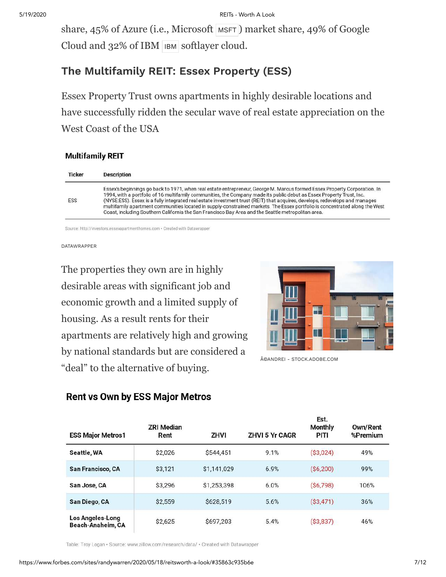share, 45% of Azure (i.e., Microsoft [MSFT](https://www.forbes.com/companies/microsoft)) market share, 49% of Google Cloud and 32% of [IBM](https://www.forbes.com/companies/ibm) IBM softlayer cloud.

### **The Multifamily REIT: Essex Property (ESS)**

Essex Property Trust owns apartments in highly desirable locations and have successfully ridden the secular wave of real estate appreciation on the West Coast of the USA

#### **Multifamily REIT**

| <b>Ticker</b> | Description                                                                                                                                                                                                                                                                                                                                                                                                                                                                                                                                                                                                            |
|---------------|------------------------------------------------------------------------------------------------------------------------------------------------------------------------------------------------------------------------------------------------------------------------------------------------------------------------------------------------------------------------------------------------------------------------------------------------------------------------------------------------------------------------------------------------------------------------------------------------------------------------|
| ESS           | Essex's beginnings go back to 1971, when real estate entrepreneur, George M. Marcus formed Essex Property Corporation. In<br>1994, with a portfolio of 16 multifamily communities, the Company made its public debut as Essex Property Trust, Inc.<br>(NYSE:ESS). Essex is a fully integrated real estate investment trust (REIT) that acquires, develops, redevelops and manages<br>multifamily apartment communities located in supply-constrained markets. The Essex portfolio is concentrated along the West<br>Coast, including Southern California the San Francisco Bay Area and the Seattle metropolitan area. |

Source: http://investors.essexapartmenthomes.com · Created with Datawrapper

DATAWRAPPER

The properties they own are in highly desirable areas with significant job and economic growth and a limited supply of housing. As a result rents for their apartments are relatively high and growing by national standards but are considered a "deal" to the alternative of buying.



Eet

©ANDREI - STOCK.ADOBE.COM

| <b>ESS Major Metros1</b>                     | <b>ZRI Median</b><br>Rent | ZHVI        | <b>ZHVI 5 Yr CAGR</b> | $- - -$<br><b>Monthly</b><br>PITI | Own/Rent<br>%Premium |
|----------------------------------------------|---------------------------|-------------|-----------------------|-----------------------------------|----------------------|
| Seattle, WA                                  | \$2,026                   | \$544,451   | 9.1%                  | (S3,024)                          | 49%                  |
| San Francisco, CA                            | \$3,121                   | \$1,141,029 | 6.9%                  | (S6, 200)                         | 99%                  |
| San Jose, CA                                 | \$3.296                   | \$1.253.398 | 6.0%                  | (S6, 798)                         | 106%                 |
| San Diego, CA                                | \$2,559                   | \$628,519   | 5.6%                  | (S3, 471)                         | 36%                  |
| <b>Los Angeles-Long</b><br>Beach-Anaheim, CA | \$2,625                   | \$697,203   | 5.4%                  | (S3, 837)                         | 46%                  |

#### **Rent vs Own by ESS Major Metros**

Table: Troy Logan · Source: www.zillow.com/research/data/ · Created with Datawrapper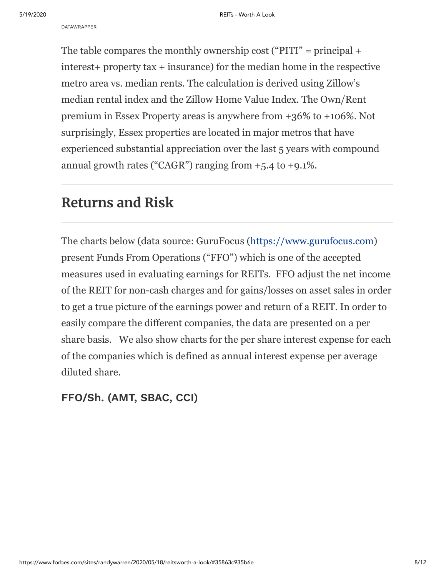The table compares the monthly ownership cost ("PITI" = principal  $+$ interest+ property tax + insurance) for the median home in the respective metro area vs. median rents. The calculation is derived using Zillow's median rental index and the Zillow Home Value Index. The Own/Rent premium in Essex Property areas is anywhere from +36% to +106%. Not surprisingly, Essex properties are located in major metros that have experienced substantial appreciation over the last 5 years with compound annual growth rates ("CAGR") ranging from  $+5.4$  to  $+9.1\%$ .

# **Returns and Risk**

The charts below (data source: GuruFocus ([https://www.gurufocus.com\)](https://www.gurufocus.com/) present Funds From Operations ("FFO") which is one of the accepted measures used in evaluating earnings for REITs. FFO adjust the net income of the REIT for non-cash charges and for gains/losses on asset sales in order to get a true picture of the earnings power and return of a REIT. In order to easily compare the different companies, the data are presented on a per share basis. We also show charts for the per share interest expense for each of the companies which is defined as annual interest expense per average diluted share.

**FFO/Sh. (AMT, SBAC, CCI)**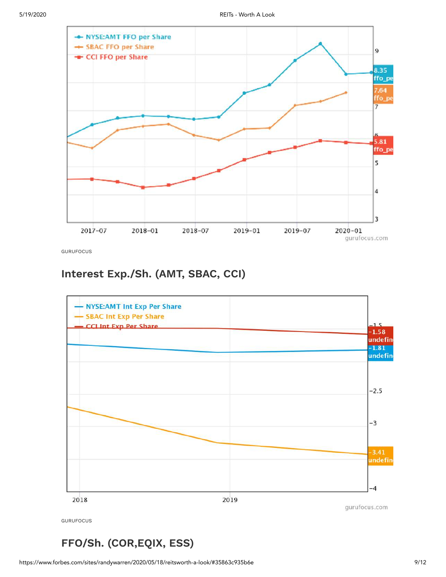

GURUFOCUS

### **Interest Exp./Sh. (AMT, SBAC, CCI)**



### **FFO/Sh. (COR,EQIX, ESS)**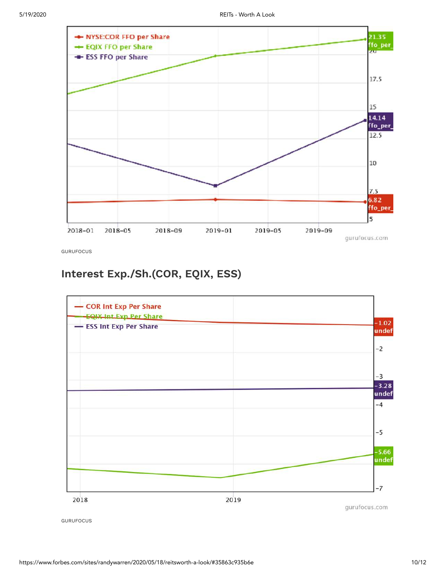

GURUFOCUS

### **Interest Exp./Sh.(COR, EQIX, ESS)**



GURUFOCUS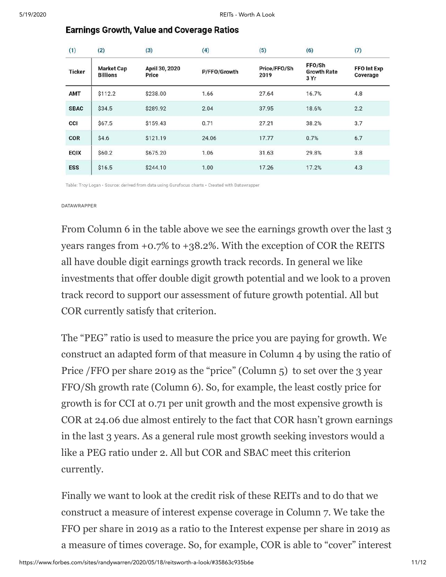| (1)           | (2)                                  | (3)                     | (4)          | (5)                  | (6)                                  | (7)                            |
|---------------|--------------------------------------|-------------------------|--------------|----------------------|--------------------------------------|--------------------------------|
| <b>Ticker</b> | <b>Market Cap</b><br><b>Billions</b> | April 30, 2020<br>Price | P/FFO/Growth | Price/FFO/Sh<br>2019 | FFO/Sh<br><b>Growth Rate</b><br>3 Yr | <b>FFO Int Exp</b><br>Coverage |
| AMT           | \$112.2                              | \$238.00                | 1.66         | 27.64                | 16.7%                                | 4.8                            |
| <b>SBAC</b>   | \$34.5                               | \$289.92                | 2.04         | 37.95                | 18.6%                                | 2.2                            |
| CCI           | \$67.5                               | \$159.43                | 0.71         | 27.21                | 38.2%                                | 3.7                            |
| COR           | \$4.6                                | \$121.19                | 24.06        | 17.77                | 0.7%                                 | 6.7                            |
| <b>EQIX</b>   | \$60.2                               | \$675.20                | 1.06         | 31.63                | 29.8%                                | 3.8                            |
| <b>ESS</b>    | \$16.5                               | \$244.10                | 1.00         | 17.26                | 17.2%                                | 4.3                            |

#### **Earnings Growth, Value and Coverage Ratios**

.<br>Seba

Table: Troy Logan · Source: derived from data using Gurufocus charts · Created with Datawrapper

#### DATAWRAPPER

 $\overline{X}$ 

From Column 6 in the table above we see the earnings growth over the last 3 years ranges from +0.7% to +38.2%. With the exception of COR the REITS all have double digit earnings growth track records. In general we like investments that offer double digit growth potential and we look to a proven track record to support our assessment of future growth potential. All but COR currently satisfy that criterion.

The "PEG" ratio is used to measure the price you are paying for growth. We construct an adapted form of that measure in Column 4 by using the ratio of Price /FFO per share 2019 as the "price" (Column 5) to set over the 3 year FFO/Sh growth rate (Column 6). So, for example, the least costly price for growth is for CCI at 0.71 per unit growth and the most expensive growth is COR at 24.06 due almost entirely to the fact that COR hasn't grown earnings in the last 3 years. As a general rule most growth seeking investors would a like a PEG ratio under 2. All but COR and SBAC meet this criterion currently.

Finally we want to look at the credit risk of these REITs and to do that we construct a measure of interest expense coverage in Column 7. We take the FFO per share in 2019 as a ratio to the Interest expense per share in 2019 as a measure of times coverage. So, for example, COR is able to "cover" interest